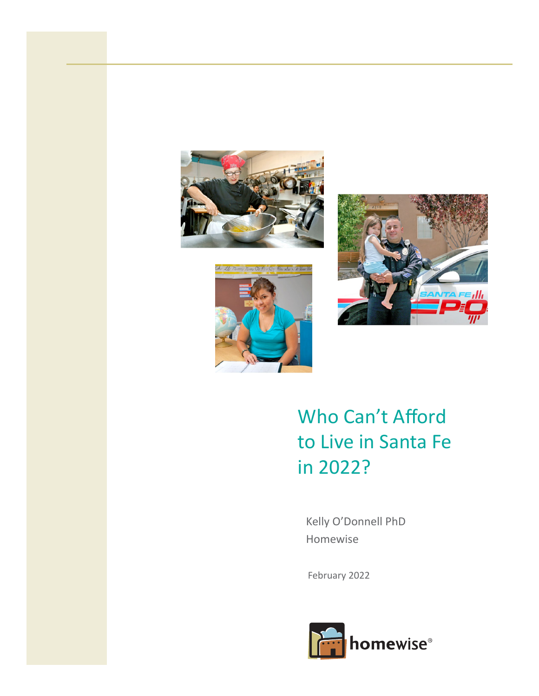





# Who Can't Afford to Live in Santa Fe in 2022?

Kelly O'Donnell PhD Homewise

February 2022

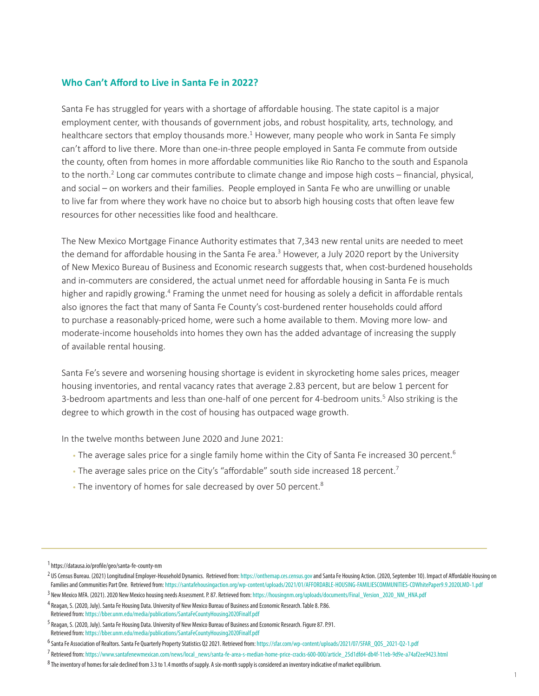## **Who Can't Afford to Live in Santa Fe in 2022?**

Santa Fe has struggled for years with a shortage of affordable housing. The state capitol is a major employment center, with thousands of government jobs, and robust hospitality, arts, technology, and healthcare sectors that employ thousands more.<sup>1</sup> However, many people who work in Santa Fe simply can't afford to live there. More than one-in-three people employed in Santa Fe commute from outside the county, often from homes in more affordable communities like Rio Rancho to the south and Espanola to the north.<sup>2</sup> Long car commutes contribute to climate change and impose high costs – financial, physical, and social – on workers and their families. People employed in Santa Fe who are unwilling or unable to live far from where they work have no choice but to absorb high housing costs that often leave few resources for other necessities like food and healthcare.

The New Mexico Mortgage Finance Authority estimates that 7,343 new rental units are needed to meet the demand for affordable housing in the Santa Fe area.<sup>3</sup> However, a July 2020 report by the University of New Mexico Bureau of Business and Economic research suggests that, when cost-burdened households and in-commuters are considered, the actual unmet need for affordable housing in Santa Fe is much higher and rapidly growing.<sup>4</sup> Framing the unmet need for housing as solely a deficit in affordable rentals also ignores the fact that many of Santa Fe County's cost-burdened renter households could afford to purchase a reasonably-priced home, were such a home available to them. Moving more low- and moderate-income households into homes they own has the added advantage of increasing the supply of available rental housing.

Santa Fe's severe and worsening housing shortage is evident in skyrocketing home sales prices, meager housing inventories, and rental vacancy rates that average 2.83 percent, but are below 1 percent for 3-bedroom apartments and less than one-half of one percent for 4-bedroom units.<sup>5</sup> Also striking is the degree to which growth in the cost of housing has outpaced wage growth.

In the twelve months between June 2020 and June 2021:

- The average sales price for a single family home within the City of Santa Fe increased 30 percent.<sup>6</sup>
- $\cdot$  The average sales price on the City's "affordable" south side increased 18 percent.<sup>7</sup>
- The inventory of homes for sale decreased by over 50 percent.<sup>8</sup>

<sup>1</sup> <https://datausa.io/profile/geo/santa-fe-county-nm>

<sup>2</sup> US Census Bureau. (2021) Longitudinal Employer-Household Dynamics. Retrieved from:<https://onthemap.ces.census.gov>and Santa Fe Housing Action. (2020, September 10). Impact of Affordable Housing on Families and Communities Part One. Retrieved from: <https://santafehousingaction.org/wp-content/uploads/2021/01/AFFORDABLE-HOUSING-FAMILIESCOMMUNITIES-CDWhitePaper9.9.2020LMD-1.pdf>

<sup>3</sup> New Mexico MFA. (2021). 2020 New Mexico housing needs Assessment. P. 87. Retrieved from: [https://housingnm.org/uploads/documents/Final\\_Version\\_2020\\_NM\\_HNA.pdf](https://housingnm.org/uploads/documents/Final_Version_2020_NM_HNA.pdf)

<sup>4</sup> Reagan, S. (2020, July). Santa Fe Housing Data. University of New Mexico Bureau of Business and Economic Research. Table 8. P.86. Retrieved from: <https://bber.unm.edu/media/publications/SantaFeCountyHousing2020Finalf.pdf>

<sup>5</sup> Reagan, S. (2020, July). Santa Fe Housing Data. University of New Mexico Bureau of Business and Economic Research. Figure 87. P.91. Retrieved from: <https://bber.unm.edu/media/publications/SantaFeCountyHousing2020Finalf.pdf>

<sup>6</sup>Santa Fe Association of Realtors. Santa Fe Quarterly Property Statistics Q2 2021. Retrieved from: [https://sfar.com/wp-content/uploads/2021/07/SFAR\\_QOS\\_2021-Q2-1.pdf](https://sfar.com/wp-content/uploads/2021/07/SFAR_QOS_2021-Q2-1.pdf) 

<sup>7</sup> Retrieved from: [https://www.santafenewmexican.com/news/local\\_news/santa-fe-area-s-median-home-price-cracks-600-000/article\\_25d1dfd4-db4f-11eb-9d9e-a74af2ee9423.html](https://www.santafenewmexican.com/news/local_news/santa-fe-area-s-median-home-price-cracks-600-000/article_25d1dfd4-db4f-11eb-9d9e-a74af2ee9423.html)

 $8$  The inventory of homes for sale declined from 3.3 to 1.4 months of supply. A six-month supply is considered an inventory indicative of market equilibrium.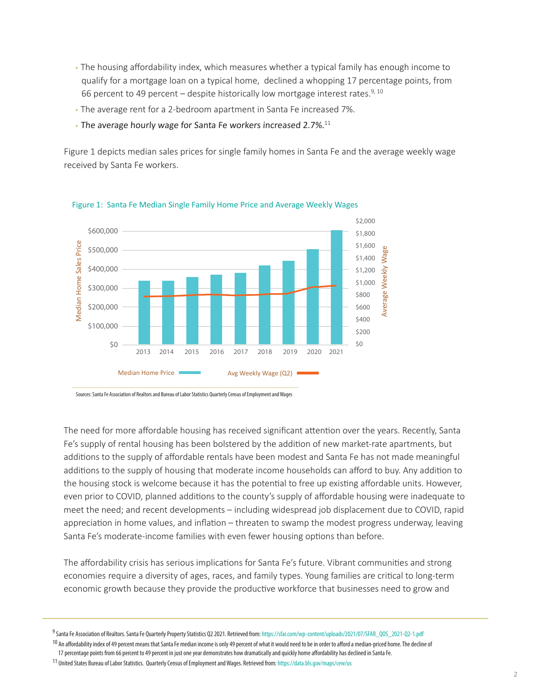- The housing affordability index, which measures whether a typical family has enough income to qualify for a mortgage loan on a typical home, declined a whopping 17 percentage points, from 66 percent to 49 percent – despite historically low mortgage interest rates.<sup>9, 10</sup>
- The average rent for a 2-bedroom apartment in Santa Fe increased 7%.
- $\cdot$  The average hourly wage for Santa Fe workers increased 2.7%. $^{11}$

Figure 1 depicts median sales prices for single family homes in Santa Fe and the average weekly wage received by Santa Fe workers.



Figure 1: Santa Fe Median Single Family Home Price and Average Weekly Wages

Sources: Santa Fe Association of Realtors and Bureau of Labor Statistics Quarterly Census of Employment and Wages

The need for more affordable housing has received significant attention over the years. Recently, Santa Fe's supply of rental housing has been bolstered by the addition of new market-rate apartments, but additions to the supply of affordable rentals have been modest and Santa Fe has not made meaningful additions to the supply of housing that moderate income households can afford to buy. Any addition to the housing stock is welcome because it has the potential to free up existing affordable units. However, even prior to COVID, planned additions to the county's supply of affordable housing were inadequate to meet the need; and recent developments – including widespread job displacement due to COVID, rapid appreciation in home values, and inflation – threaten to swamp the modest progress underway, leaving Santa Fe's moderate-income families with even fewer housing options than before.

The affordability crisis has serious implications for Santa Fe's future. Vibrant communities and strong economies require a diversity of ages, races, and family types. Young families are critical to long-term economic growth because they provide the productive workforce that businesses need to grow and

<sup>9</sup>Santa Fe Association of Realtors. Santa Fe Quarterly Property Statistics Q2 2021. Retrieved from: [https://sfar.com/wp-content/uploads/2021/07/SFAR\\_QOS\\_2021-Q2-1.pdf](https://sfar.com/wp-content/uploads/2021/07/SFAR_QOS_2021-Q2-1.pdf)

<sup>&</sup>lt;sup>10</sup> An affordability index of 49 percent means that Santa Fe median income is only 49 percent of what it would need to be in order to afford a median-priced home. The decline of 17 percentage points from 66 percent to 49 percent in just one year demonstrates how dramatically and quickly home affordability has declined in Santa Fe.

<sup>11</sup> United States Bureau of Labor Statistics. Quarterly Census of Employment and Wages. Retrieved from:<https://data.bls.gov/maps/cew/us>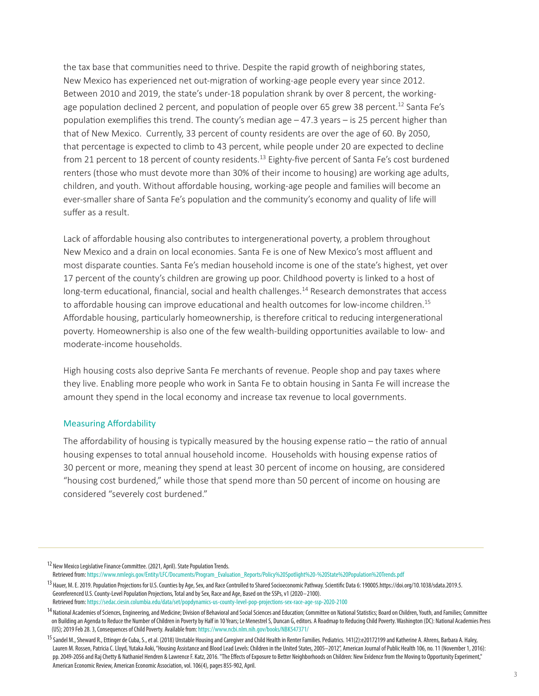the tax base that communities need to thrive. Despite the rapid growth of neighboring states, New Mexico has experienced net out-migration of working-age people every year since 2012. Between 2010 and 2019, the state's under-18 population shrank by over 8 percent, the workingage population declined 2 percent, and population of people over 65 grew 38 percent.<sup>12</sup> Santa Fe's population exemplifies this trend. The county's median age  $-47.3$  years  $-$  is 25 percent higher than that of New Mexico. Currently, 33 percent of county residents are over the age of 60. By 2050, that percentage is expected to climb to 43 percent, while people under 20 are expected to decline from 21 percent to 18 percent of county residents.<sup>13</sup> Eighty-five percent of Santa Fe's cost burdened renters (those who must devote more than 30% of their income to housing) are working age adults, children, and youth. Without affordable housing, working-age people and families will become an ever-smaller share of Santa Fe's population and the community's economy and quality of life will suffer as a result.

Lack of affordable housing also contributes to intergenerational poverty, a problem throughout New Mexico and a drain on local economies. Santa Fe is one of New Mexico's most affluent and most disparate counties. Santa Fe's median household income is one of the state's highest, yet over 17 percent of the county's children are growing up poor. Childhood poverty is linked to a host of long-term educational, financial, social and health challenges.<sup>14</sup> Research demonstrates that access to affordable housing can improve educational and health outcomes for low-income children.<sup>15</sup> Affordable housing, particularly homeownership, is therefore critical to reducing intergenerational poverty. Homeownership is also one of the few wealth-building opportunities available to low- and moderate-income households.

High housing costs also deprive Santa Fe merchants of revenue. People shop and pay taxes where they live. Enabling more people who work in Santa Fe to obtain housing in Santa Fe will increase the amount they spend in the local economy and increase tax revenue to local governments.

#### Measuring Affordability

The affordability of housing is typically measured by the housing expense ratio – the ratio of annual housing expenses to total annual household income. Households with housing expense ratios of 30 percent or more, meaning they spend at least 30 percent of income on housing, are considered "housing cost burdened," while those that spend more than 50 percent of income on housing are considered "severely cost burdened."

<sup>&</sup>lt;sup>12</sup> New Mexico Legislative Finance Committee. (2021, April). State Population Trends.

Retrieved from: [https://www.nmlegis.gov/Entity/LFC/Documents/Program\\_Evaluation\\_Reports/Policy%20Spotlight%20-%20State%20Population%20Trends.pdf](https://www.nmlegis.gov/Entity/LFC/Documents/Program_Evaluation_Reports/Policy%20Spotlight%20-%20State%20Population%20Trends.pdf) <sup>13</sup> Hauer, M. E. 2019. Population Projections for U.S. Counties by Age, Sex, and Race Controlled to Shared Socioeconomic Pathway. Scientific Data 6: 190005[.https://doi.org/10.1038/sdata.2019.5.](https://doi.org/10.1038/sdata.2019.5) Georeferenced U.S. County-Level Population Projections, Total and by Sex, Race and Age, Based on the SSPs, v1 (2020–2100). Retrieved from:<https://sedac.ciesin.columbia.edu/data/set/popdynamics-us-county-level-pop-projections-sex-race-age-ssp-2020-2100>

<sup>&</sup>lt;sup>14</sup> National Academies of Sciences, Engineering, and Medicine; Division of Behavioral and Social Sciences and Education; Committee on National Statistics; Board on Children, Youth, and Families; Committee on Building an Agenda to Reduce the Number of Children in Poverty by Half in 10 Years; Le Menestrel S, Duncan G, editors. A Roadmap to Reducing Child Poverty. Washington (DC): National Academies Press (US); 2019 Feb 28. 3, Consequences of Child Poverty. Available from:<https://www.ncbi.nlm.nih.gov/books/NBK547371/>

<sup>&</sup>lt;sup>15</sup> Sandel M., Sheward R., Ettinger de Cuba, S., et al. (2018) Unstable Housing and Caregiver and Child Health in Renter Families. Pediatrics. 141(2):e20172199 and Katherine A. Ahrens, Barbara A. Haley, Lauren M. Rossen, Patricia C. Lloyd, Yutaka Aoki, "Housing Assistance and Blood Lead Levels: Children in the United States, 2005–2012", American Journal of Public Health 106, no. 11 (November 1, 2016): pp. 2049-2056 and Raj Chetty & Nathaniel Hendren & Lawrence F. Katz, 2016. "The Effects of Exposure to Better Neighborhoods on Children: New Evidence from the Moving to Opportunity Experiment," American Economic Review, American Economic Association, vol. 106(4), pages 855-902, April.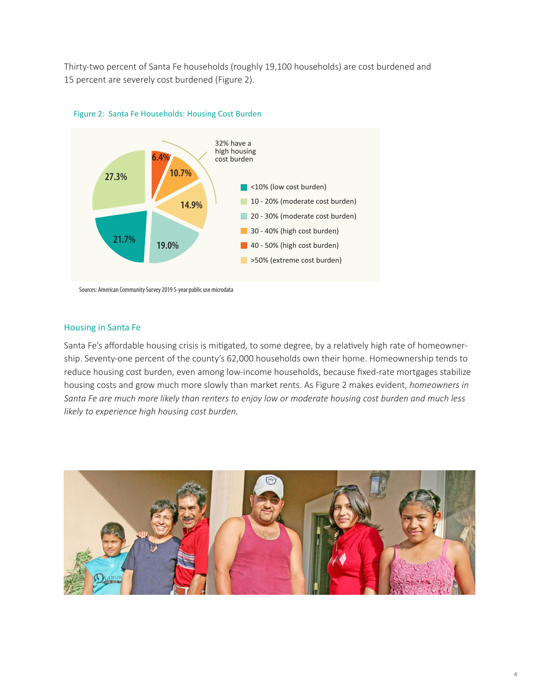Thirty-two percent of Santa Fe households (roughly 19,100 households) are cost burdened and 15 percent are severely cost burdened (Figure 2).





Sources: American Community Survey 2019 5-year public use microdata

#### Housing in Santa Fe

Santa Fe's affordable housing crisis is mitigated, to some degree, by a relatively high rate of homeownership. Seventy-one percent of the county's 62,000 households own their home. Homeownership tends to reduce housing cost burden, even among low-income households, because fixed-rate mortgages stabilize housing costs and grow much more slowly than market rents. As Figure 2 makes evident, *homeowners in Santa Fe are much more likely than renters to enjoy low or moderate housing cost burden and much less likely to experience high housing cost burden.*

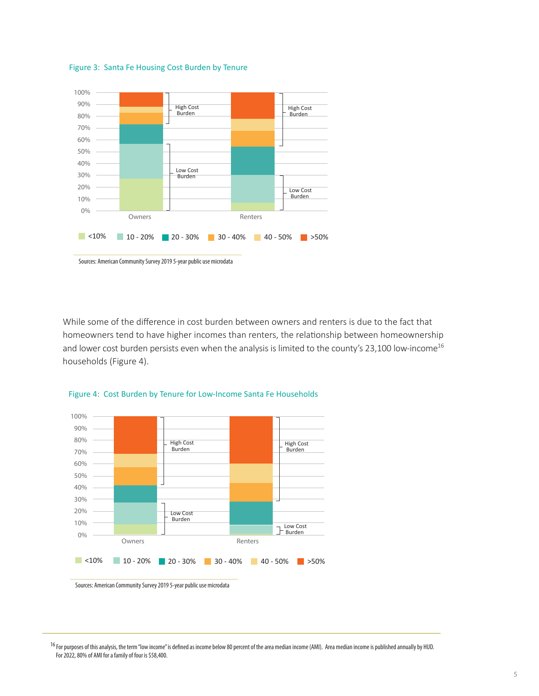

Figure 3: Santa Fe Housing Cost Burden by Tenure

While some of the difference in cost burden between owners and renters is due to the fact that homeowners tend to have higher incomes than renters, the relationship between homeownership and lower cost burden persists even when the analysis is limited to the county's 23,100 low-income<sup>16</sup> households (Figure 4).





Sources: American Community Survey 2019 5-year public use microdata

<sup>&</sup>lt;sup>16</sup> For purposes of this analysis, the term "low income" is defined as income below 80 percent of the area median income (AMI). Area median income is published annually by HUD. For 2022, 80% of AMI for a family of four is \$58,400.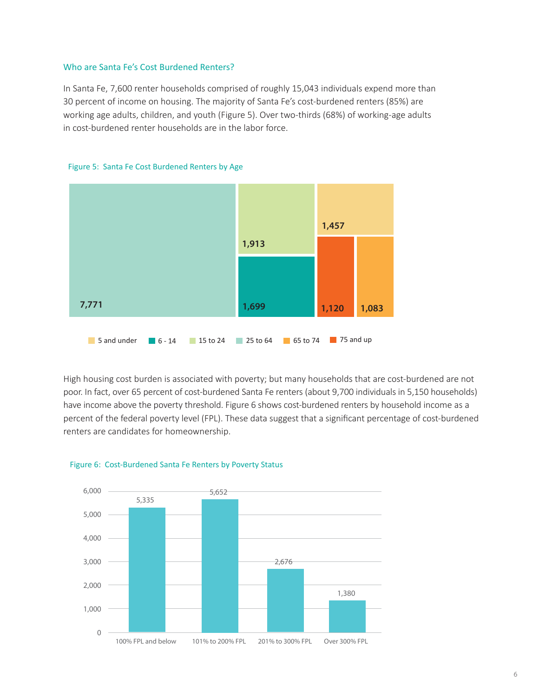#### Who are Santa Fe's Cost Burdened Renters?

In Santa Fe, 7,600 renter households comprised of roughly 15,043 individuals expend more than 30 percent of income on housing. The majority of Santa Fe's cost-burdened renters (85%) are working age adults, children, and youth (Figure 5). Over two-thirds (68%) of working-age adults in cost-burdened renter households are in the labor force.



Figure 5: Santa Fe Cost Burdened Renters by Age

High housing cost burden is associated with poverty; but many households that are cost-burdened are not poor. In fact, over 65 percent of cost-burdened Santa Fe renters (about 9,700 individuals in 5,150 households) have income above the poverty threshold. Figure 6 shows cost-burdened renters by household income as a percent of the federal poverty level (FPL). These data suggest that a significant percentage of cost-burdened renters are candidates for homeownership.



#### Figure 6: Cost-Burdened Santa Fe Renters by Poverty Status